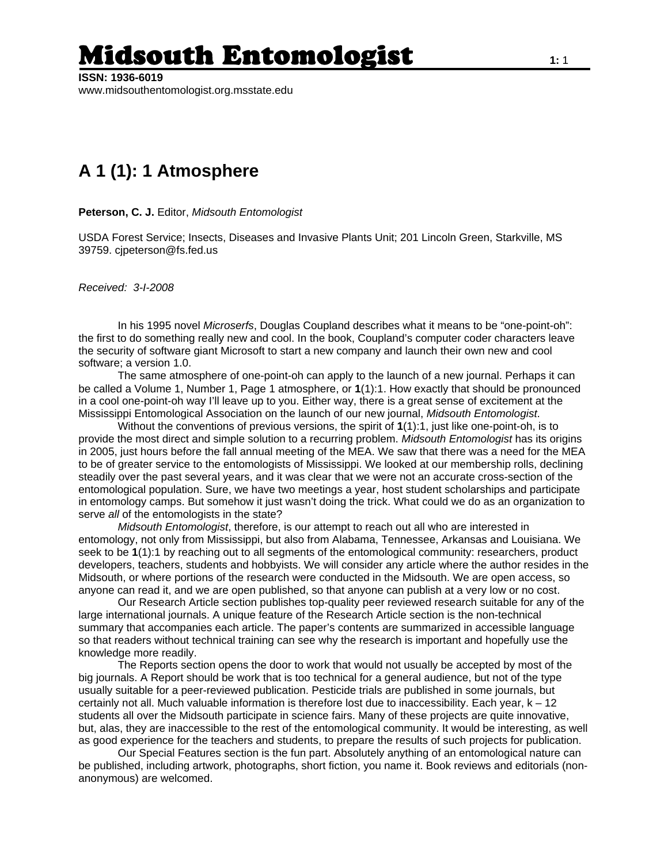## Midsouth Entomologist **1:**<sup>1</sup>

**ISSN: 1936-6019**  www.midsouthentomologist.org.msstate.edu

## **A 1 (1): 1 Atmosphere**

**Peterson, C. J.** Editor, *Midsouth Entomologist*

USDA Forest Service; Insects, Diseases and Invasive Plants Unit; 201 Lincoln Green, Starkville, MS 39759. cjpeterson@fs.fed.us

*Received: 3-I-2008* 

 In his 1995 novel *Microserfs*, Douglas Coupland describes what it means to be "one-point-oh": the first to do something really new and cool. In the book, Coupland's computer coder characters leave the security of software giant Microsoft to start a new company and launch their own new and cool software; a version 1.0.

 The same atmosphere of one-point-oh can apply to the launch of a new journal. Perhaps it can be called a Volume 1, Number 1, Page 1 atmosphere, or **1**(1):1. How exactly that should be pronounced in a cool one-point-oh way I'll leave up to you. Either way, there is a great sense of excitement at the Mississippi Entomological Association on the launch of our new journal, *Midsouth Entomologist*.

 Without the conventions of previous versions, the spirit of **1**(1):1, just like one-point-oh, is to provide the most direct and simple solution to a recurring problem. *Midsouth Entomologist* has its origins in 2005, just hours before the fall annual meeting of the MEA. We saw that there was a need for the MEA to be of greater service to the entomologists of Mississippi. We looked at our membership rolls, declining steadily over the past several years, and it was clear that we were not an accurate cross-section of the entomological population. Sure, we have two meetings a year, host student scholarships and participate in entomology camps. But somehow it just wasn't doing the trick. What could we do as an organization to serve *all* of the entomologists in the state?

*Midsouth Entomologist*, therefore, is our attempt to reach out all who are interested in entomology, not only from Mississippi, but also from Alabama, Tennessee, Arkansas and Louisiana. We seek to be **1**(1):1 by reaching out to all segments of the entomological community: researchers, product developers, teachers, students and hobbyists. We will consider any article where the author resides in the Midsouth, or where portions of the research were conducted in the Midsouth. We are open access, so anyone can read it, and we are open published, so that anyone can publish at a very low or no cost.

Our Research Article section publishes top-quality peer reviewed research suitable for any of the large international journals. A unique feature of the Research Article section is the non-technical summary that accompanies each article. The paper's contents are summarized in accessible language so that readers without technical training can see why the research is important and hopefully use the knowledge more readily.

The Reports section opens the door to work that would not usually be accepted by most of the big journals. A Report should be work that is too technical for a general audience, but not of the type usually suitable for a peer-reviewed publication. Pesticide trials are published in some journals, but certainly not all. Much valuable information is therefore lost due to inaccessibility. Each year, k – 12 students all over the Midsouth participate in science fairs. Many of these projects are quite innovative, but, alas, they are inaccessible to the rest of the entomological community. It would be interesting, as well as good experience for the teachers and students, to prepare the results of such projects for publication.

Our Special Features section is the fun part. Absolutely anything of an entomological nature can be published, including artwork, photographs, short fiction, you name it. Book reviews and editorials (nonanonymous) are welcomed.